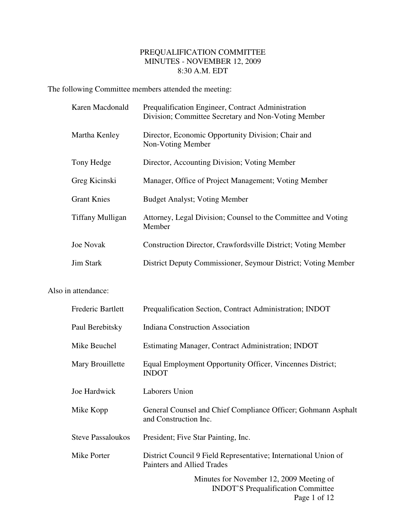## PREQUALIFICATION COMMITTEE MINUTES - NOVEMBER 12, 2009 8:30 A.M. EDT

The following Committee members attended the meeting:

| Karen Macdonald         | Prequalification Engineer, Contract Administration<br>Division; Committee Secretary and Non-Voting Member |
|-------------------------|-----------------------------------------------------------------------------------------------------------|
| Martha Kenley           | Director, Economic Opportunity Division; Chair and<br>Non-Voting Member                                   |
| Tony Hedge              | Director, Accounting Division; Voting Member                                                              |
| Greg Kicinski           | Manager, Office of Project Management; Voting Member                                                      |
| <b>Grant Knies</b>      | <b>Budget Analyst</b> ; Voting Member                                                                     |
| <b>Tiffany Mulligan</b> | Attorney, Legal Division; Counsel to the Committee and Voting<br>Member                                   |
| <b>Joe Novak</b>        | Construction Director, Crawfordsville District; Voting Member                                             |
| <b>Jim Stark</b>        | District Deputy Commissioner, Seymour District; Voting Member                                             |

## Also in attendance:

| Frederic Bartlett        | Prequalification Section, Contract Administration; INDOT                                              |
|--------------------------|-------------------------------------------------------------------------------------------------------|
| Paul Berebitsky          | <b>Indiana Construction Association</b>                                                               |
| Mike Beuchel             | Estimating Manager, Contract Administration; INDOT                                                    |
| Mary Brouillette         | Equal Employment Opportunity Officer, Vincennes District;<br><b>INDOT</b>                             |
| Joe Hardwick             | <b>Laborers Union</b>                                                                                 |
| Mike Kopp                | General Counsel and Chief Compliance Officer; Gohmann Asphalt<br>and Construction Inc.                |
| <b>Steve Passaloukos</b> | President; Five Star Painting, Inc.                                                                   |
| Mike Porter              | District Council 9 Field Representative; International Union of<br><b>Painters and Allied Trades</b>  |
|                          | Minutes for November 12, 2009 Meeting of<br><b>INDOT'S Prequalification Committee</b><br>Page 1 of 12 |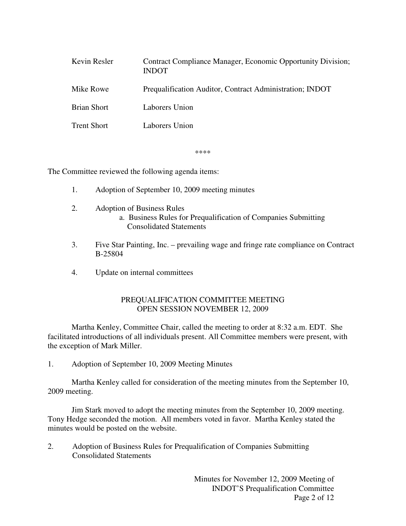| Kevin Resler       | Contract Compliance Manager, Economic Opportunity Division;<br><b>INDOT</b> |
|--------------------|-----------------------------------------------------------------------------|
| Mike Rowe          | Prequalification Auditor, Contract Administration; INDOT                    |
| <b>Brian Short</b> | Laborers Union                                                              |
| <b>Trent Short</b> | Laborers Union                                                              |

\*\*\*\*

The Committee reviewed the following agenda items:

- 1. Adoption of September 10, 2009 meeting minutes
- 2. Adoption of Business Rules a. Business Rules for Prequalification of Companies Submitting Consolidated Statements
- 3. Five Star Painting, Inc. prevailing wage and fringe rate compliance on Contract B-25804
- 4. Update on internal committees

## PREQUALIFICATION COMMITTEE MEETING OPEN SESSION NOVEMBER 12, 2009

 Martha Kenley, Committee Chair, called the meeting to order at 8:32 a.m. EDT. She facilitated introductions of all individuals present. All Committee members were present, with the exception of Mark Miller.

1. Adoption of September 10, 2009 Meeting Minutes

 Martha Kenley called for consideration of the meeting minutes from the September 10, 2009 meeting.

 Jim Stark moved to adopt the meeting minutes from the September 10, 2009 meeting. Tony Hedge seconded the motion. All members voted in favor. Martha Kenley stated the minutes would be posted on the website.

2. Adoption of Business Rules for Prequalification of Companies Submitting Consolidated Statements

> Minutes for November 12, 2009 Meeting of INDOT'S Prequalification Committee Page 2 of 12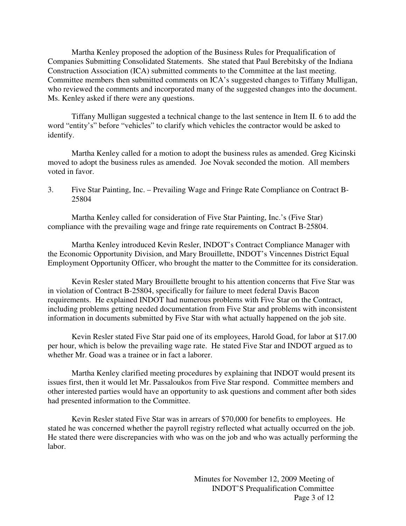Martha Kenley proposed the adoption of the Business Rules for Prequalification of Companies Submitting Consolidated Statements. She stated that Paul Berebitsky of the Indiana Construction Association (ICA) submitted comments to the Committee at the last meeting. Committee members then submitted comments on ICA's suggested changes to Tiffany Mulligan, who reviewed the comments and incorporated many of the suggested changes into the document. Ms. Kenley asked if there were any questions.

 Tiffany Mulligan suggested a technical change to the last sentence in Item II. 6 to add the word "entity's" before "vehicles" to clarify which vehicles the contractor would be asked to identify.

 Martha Kenley called for a motion to adopt the business rules as amended. Greg Kicinski moved to adopt the business rules as amended. Joe Novak seconded the motion. All members voted in favor.

3. Five Star Painting, Inc. – Prevailing Wage and Fringe Rate Compliance on Contract B-25804

 Martha Kenley called for consideration of Five Star Painting, Inc.'s (Five Star) compliance with the prevailing wage and fringe rate requirements on Contract B-25804.

 Martha Kenley introduced Kevin Resler, INDOT's Contract Compliance Manager with the Economic Opportunity Division, and Mary Brouillette, INDOT's Vincennes District Equal Employment Opportunity Officer, who brought the matter to the Committee for its consideration.

 Kevin Resler stated Mary Brouillette brought to his attention concerns that Five Star was in violation of Contract B-25804, specifically for failure to meet federal Davis Bacon requirements. He explained INDOT had numerous problems with Five Star on the Contract, including problems getting needed documentation from Five Star and problems with inconsistent information in documents submitted by Five Star with what actually happened on the job site.

 Kevin Resler stated Five Star paid one of its employees, Harold Goad, for labor at \$17.00 per hour, which is below the prevailing wage rate. He stated Five Star and INDOT argued as to whether Mr. Goad was a trainee or in fact a laborer.

 Martha Kenley clarified meeting procedures by explaining that INDOT would present its issues first, then it would let Mr. Passaloukos from Five Star respond. Committee members and other interested parties would have an opportunity to ask questions and comment after both sides had presented information to the Committee.

 Kevin Resler stated Five Star was in arrears of \$70,000 for benefits to employees. He stated he was concerned whether the payroll registry reflected what actually occurred on the job. He stated there were discrepancies with who was on the job and who was actually performing the labor.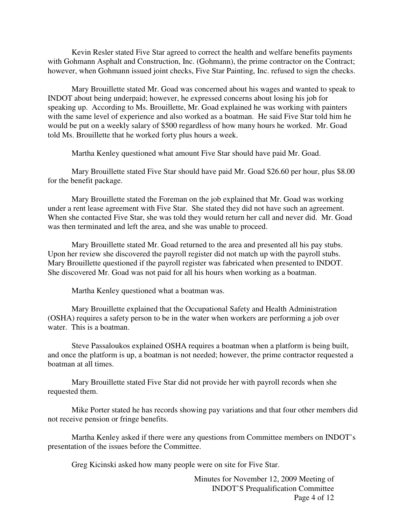Kevin Resler stated Five Star agreed to correct the health and welfare benefits payments with Gohmann Asphalt and Construction, Inc. (Gohmann), the prime contractor on the Contract; however, when Gohmann issued joint checks, Five Star Painting, Inc. refused to sign the checks.

 Mary Brouillette stated Mr. Goad was concerned about his wages and wanted to speak to INDOT about being underpaid; however, he expressed concerns about losing his job for speaking up. According to Ms. Brouillette, Mr. Goad explained he was working with painters with the same level of experience and also worked as a boatman. He said Five Star told him he would be put on a weekly salary of \$500 regardless of how many hours he worked. Mr. Goad told Ms. Brouillette that he worked forty plus hours a week.

Martha Kenley questioned what amount Five Star should have paid Mr. Goad.

 Mary Brouillette stated Five Star should have paid Mr. Goad \$26.60 per hour, plus \$8.00 for the benefit package.

 Mary Brouillette stated the Foreman on the job explained that Mr. Goad was working under a rent lease agreement with Five Star. She stated they did not have such an agreement. When she contacted Five Star, she was told they would return her call and never did. Mr. Goad was then terminated and left the area, and she was unable to proceed.

 Mary Brouillette stated Mr. Goad returned to the area and presented all his pay stubs. Upon her review she discovered the payroll register did not match up with the payroll stubs. Mary Brouillette questioned if the payroll register was fabricated when presented to INDOT. She discovered Mr. Goad was not paid for all his hours when working as a boatman.

Martha Kenley questioned what a boatman was.

 Mary Brouillette explained that the Occupational Safety and Health Administration (OSHA) requires a safety person to be in the water when workers are performing a job over water. This is a boatman.

 Steve Passaloukos explained OSHA requires a boatman when a platform is being built, and once the platform is up, a boatman is not needed; however, the prime contractor requested a boatman at all times.

 Mary Brouillette stated Five Star did not provide her with payroll records when she requested them.

 Mike Porter stated he has records showing pay variations and that four other members did not receive pension or fringe benefits.

 Martha Kenley asked if there were any questions from Committee members on INDOT's presentation of the issues before the Committee.

Greg Kicinski asked how many people were on site for Five Star.

 Minutes for November 12, 2009 Meeting of INDOT'S Prequalification Committee Page 4 of 12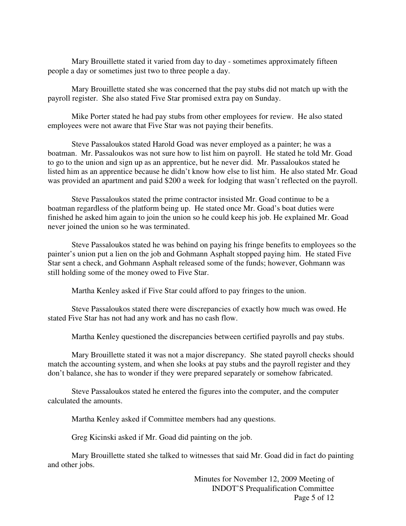Mary Brouillette stated it varied from day to day - sometimes approximately fifteen people a day or sometimes just two to three people a day.

 Mary Brouillette stated she was concerned that the pay stubs did not match up with the payroll register. She also stated Five Star promised extra pay on Sunday.

 Mike Porter stated he had pay stubs from other employees for review. He also stated employees were not aware that Five Star was not paying their benefits.

 Steve Passaloukos stated Harold Goad was never employed as a painter; he was a boatman. Mr. Passaloukos was not sure how to list him on payroll. He stated he told Mr. Goad to go to the union and sign up as an apprentice, but he never did. Mr. Passaloukos stated he listed him as an apprentice because he didn't know how else to list him. He also stated Mr. Goad was provided an apartment and paid \$200 a week for lodging that wasn't reflected on the payroll.

 Steve Passaloukos stated the prime contractor insisted Mr. Goad continue to be a boatman regardless of the platform being up. He stated once Mr. Goad's boat duties were finished he asked him again to join the union so he could keep his job. He explained Mr. Goad never joined the union so he was terminated.

 Steve Passaloukos stated he was behind on paying his fringe benefits to employees so the painter's union put a lien on the job and Gohmann Asphalt stopped paying him. He stated Five Star sent a check, and Gohmann Asphalt released some of the funds; however, Gohmann was still holding some of the money owed to Five Star.

Martha Kenley asked if Five Star could afford to pay fringes to the union.

 Steve Passaloukos stated there were discrepancies of exactly how much was owed. He stated Five Star has not had any work and has no cash flow.

Martha Kenley questioned the discrepancies between certified payrolls and pay stubs.

 Mary Brouillette stated it was not a major discrepancy. She stated payroll checks should match the accounting system, and when she looks at pay stubs and the payroll register and they don't balance, she has to wonder if they were prepared separately or somehow fabricated.

 Steve Passaloukos stated he entered the figures into the computer, and the computer calculated the amounts.

Martha Kenley asked if Committee members had any questions.

Greg Kicinski asked if Mr. Goad did painting on the job.

 Mary Brouillette stated she talked to witnesses that said Mr. Goad did in fact do painting and other jobs.

> Minutes for November 12, 2009 Meeting of INDOT'S Prequalification Committee Page 5 of 12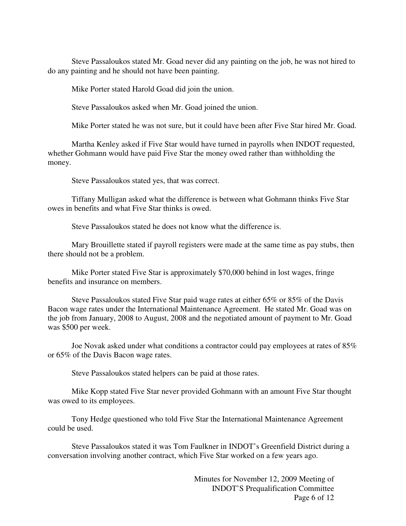Steve Passaloukos stated Mr. Goad never did any painting on the job, he was not hired to do any painting and he should not have been painting.

Mike Porter stated Harold Goad did join the union.

Steve Passaloukos asked when Mr. Goad joined the union.

Mike Porter stated he was not sure, but it could have been after Five Star hired Mr. Goad.

 Martha Kenley asked if Five Star would have turned in payrolls when INDOT requested, whether Gohmann would have paid Five Star the money owed rather than withholding the money.

Steve Passaloukos stated yes, that was correct.

 Tiffany Mulligan asked what the difference is between what Gohmann thinks Five Star owes in benefits and what Five Star thinks is owed.

Steve Passaloukos stated he does not know what the difference is.

 Mary Brouillette stated if payroll registers were made at the same time as pay stubs, then there should not be a problem.

 Mike Porter stated Five Star is approximately \$70,000 behind in lost wages, fringe benefits and insurance on members.

 Steve Passaloukos stated Five Star paid wage rates at either 65% or 85% of the Davis Bacon wage rates under the International Maintenance Agreement. He stated Mr. Goad was on the job from January, 2008 to August, 2008 and the negotiated amount of payment to Mr. Goad was \$500 per week.

 Joe Novak asked under what conditions a contractor could pay employees at rates of 85% or 65% of the Davis Bacon wage rates.

Steve Passaloukos stated helpers can be paid at those rates.

 Mike Kopp stated Five Star never provided Gohmann with an amount Five Star thought was owed to its employees.

 Tony Hedge questioned who told Five Star the International Maintenance Agreement could be used.

 Steve Passaloukos stated it was Tom Faulkner in INDOT's Greenfield District during a conversation involving another contract, which Five Star worked on a few years ago.

> Minutes for November 12, 2009 Meeting of INDOT'S Prequalification Committee Page 6 of 12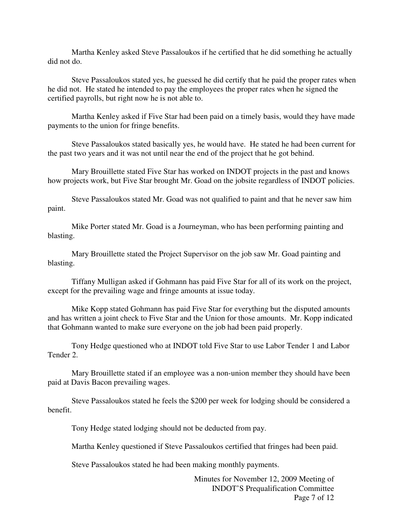Martha Kenley asked Steve Passaloukos if he certified that he did something he actually did not do.

 Steve Passaloukos stated yes, he guessed he did certify that he paid the proper rates when he did not. He stated he intended to pay the employees the proper rates when he signed the certified payrolls, but right now he is not able to.

 Martha Kenley asked if Five Star had been paid on a timely basis, would they have made payments to the union for fringe benefits.

 Steve Passaloukos stated basically yes, he would have. He stated he had been current for the past two years and it was not until near the end of the project that he got behind.

 Mary Brouillette stated Five Star has worked on INDOT projects in the past and knows how projects work, but Five Star brought Mr. Goad on the jobsite regardless of INDOT policies.

 Steve Passaloukos stated Mr. Goad was not qualified to paint and that he never saw him paint.

 Mike Porter stated Mr. Goad is a Journeyman, who has been performing painting and blasting.

 Mary Brouillette stated the Project Supervisor on the job saw Mr. Goad painting and blasting.

 Tiffany Mulligan asked if Gohmann has paid Five Star for all of its work on the project, except for the prevailing wage and fringe amounts at issue today.

 Mike Kopp stated Gohmann has paid Five Star for everything but the disputed amounts and has written a joint check to Five Star and the Union for those amounts. Mr. Kopp indicated that Gohmann wanted to make sure everyone on the job had been paid properly.

 Tony Hedge questioned who at INDOT told Five Star to use Labor Tender 1 and Labor Tender 2.

 Mary Brouillette stated if an employee was a non-union member they should have been paid at Davis Bacon prevailing wages.

 Steve Passaloukos stated he feels the \$200 per week for lodging should be considered a benefit.

Tony Hedge stated lodging should not be deducted from pay.

Martha Kenley questioned if Steve Passaloukos certified that fringes had been paid.

Steve Passaloukos stated he had been making monthly payments.

 Minutes for November 12, 2009 Meeting of INDOT'S Prequalification Committee Page 7 of 12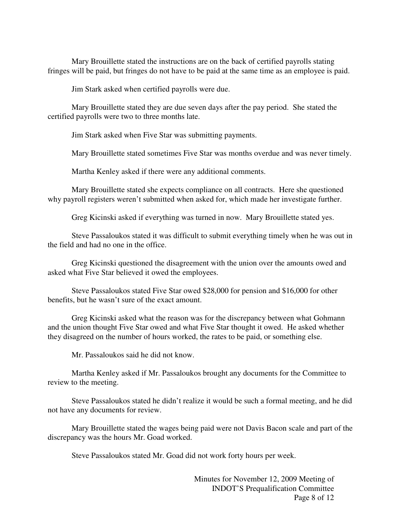Mary Brouillette stated the instructions are on the back of certified payrolls stating fringes will be paid, but fringes do not have to be paid at the same time as an employee is paid.

Jim Stark asked when certified payrolls were due.

 Mary Brouillette stated they are due seven days after the pay period. She stated the certified payrolls were two to three months late.

Jim Stark asked when Five Star was submitting payments.

Mary Brouillette stated sometimes Five Star was months overdue and was never timely.

Martha Kenley asked if there were any additional comments.

 Mary Brouillette stated she expects compliance on all contracts. Here she questioned why payroll registers weren't submitted when asked for, which made her investigate further.

Greg Kicinski asked if everything was turned in now. Mary Brouillette stated yes.

 Steve Passaloukos stated it was difficult to submit everything timely when he was out in the field and had no one in the office.

 Greg Kicinski questioned the disagreement with the union over the amounts owed and asked what Five Star believed it owed the employees.

 Steve Passaloukos stated Five Star owed \$28,000 for pension and \$16,000 for other benefits, but he wasn't sure of the exact amount.

 Greg Kicinski asked what the reason was for the discrepancy between what Gohmann and the union thought Five Star owed and what Five Star thought it owed. He asked whether they disagreed on the number of hours worked, the rates to be paid, or something else.

Mr. Passaloukos said he did not know.

 Martha Kenley asked if Mr. Passaloukos brought any documents for the Committee to review to the meeting.

 Steve Passaloukos stated he didn't realize it would be such a formal meeting, and he did not have any documents for review.

 Mary Brouillette stated the wages being paid were not Davis Bacon scale and part of the discrepancy was the hours Mr. Goad worked.

Steve Passaloukos stated Mr. Goad did not work forty hours per week.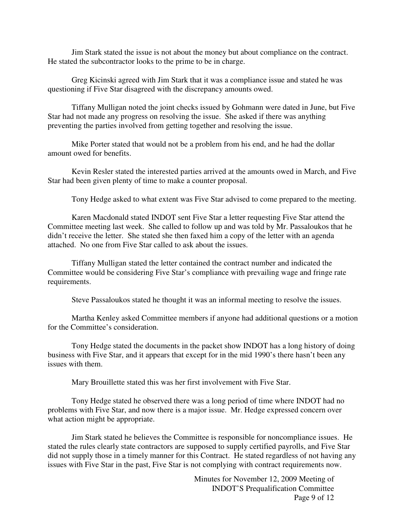Jim Stark stated the issue is not about the money but about compliance on the contract. He stated the subcontractor looks to the prime to be in charge.

 Greg Kicinski agreed with Jim Stark that it was a compliance issue and stated he was questioning if Five Star disagreed with the discrepancy amounts owed.

 Tiffany Mulligan noted the joint checks issued by Gohmann were dated in June, but Five Star had not made any progress on resolving the issue. She asked if there was anything preventing the parties involved from getting together and resolving the issue.

 Mike Porter stated that would not be a problem from his end, and he had the dollar amount owed for benefits.

 Kevin Resler stated the interested parties arrived at the amounts owed in March, and Five Star had been given plenty of time to make a counter proposal.

Tony Hedge asked to what extent was Five Star advised to come prepared to the meeting.

 Karen Macdonald stated INDOT sent Five Star a letter requesting Five Star attend the Committee meeting last week. She called to follow up and was told by Mr. Passaloukos that he didn't receive the letter. She stated she then faxed him a copy of the letter with an agenda attached. No one from Five Star called to ask about the issues.

 Tiffany Mulligan stated the letter contained the contract number and indicated the Committee would be considering Five Star's compliance with prevailing wage and fringe rate requirements.

Steve Passaloukos stated he thought it was an informal meeting to resolve the issues.

 Martha Kenley asked Committee members if anyone had additional questions or a motion for the Committee's consideration.

 Tony Hedge stated the documents in the packet show INDOT has a long history of doing business with Five Star, and it appears that except for in the mid 1990's there hasn't been any issues with them.

Mary Brouillette stated this was her first involvement with Five Star.

 Tony Hedge stated he observed there was a long period of time where INDOT had no problems with Five Star, and now there is a major issue. Mr. Hedge expressed concern over what action might be appropriate.

 Jim Stark stated he believes the Committee is responsible for noncompliance issues. He stated the rules clearly state contractors are supposed to supply certified payrolls, and Five Star did not supply those in a timely manner for this Contract. He stated regardless of not having any issues with Five Star in the past, Five Star is not complying with contract requirements now.

> Minutes for November 12, 2009 Meeting of INDOT'S Prequalification Committee Page 9 of 12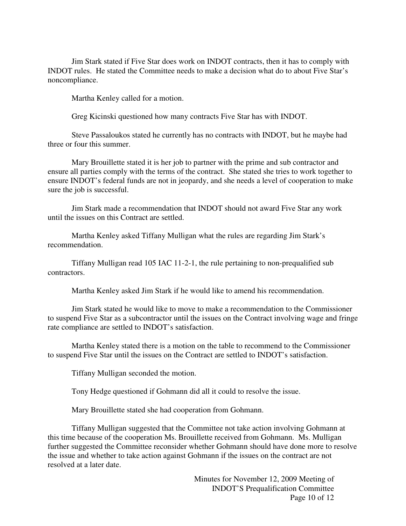Jim Stark stated if Five Star does work on INDOT contracts, then it has to comply with INDOT rules. He stated the Committee needs to make a decision what do to about Five Star's noncompliance.

Martha Kenley called for a motion.

Greg Kicinski questioned how many contracts Five Star has with INDOT.

 Steve Passaloukos stated he currently has no contracts with INDOT, but he maybe had three or four this summer.

 Mary Brouillette stated it is her job to partner with the prime and sub contractor and ensure all parties comply with the terms of the contract. She stated she tries to work together to ensure INDOT's federal funds are not in jeopardy, and she needs a level of cooperation to make sure the job is successful.

 Jim Stark made a recommendation that INDOT should not award Five Star any work until the issues on this Contract are settled.

 Martha Kenley asked Tiffany Mulligan what the rules are regarding Jim Stark's recommendation.

 Tiffany Mulligan read 105 IAC 11-2-1, the rule pertaining to non-prequalified sub contractors.

Martha Kenley asked Jim Stark if he would like to amend his recommendation.

 Jim Stark stated he would like to move to make a recommendation to the Commissioner to suspend Five Star as a subcontractor until the issues on the Contract involving wage and fringe rate compliance are settled to INDOT's satisfaction.

 Martha Kenley stated there is a motion on the table to recommend to the Commissioner to suspend Five Star until the issues on the Contract are settled to INDOT's satisfaction.

Tiffany Mulligan seconded the motion.

Tony Hedge questioned if Gohmann did all it could to resolve the issue.

Mary Brouillette stated she had cooperation from Gohmann.

 Tiffany Mulligan suggested that the Committee not take action involving Gohmann at this time because of the cooperation Ms. Brouillette received from Gohmann. Ms. Mulligan further suggested the Committee reconsider whether Gohmann should have done more to resolve the issue and whether to take action against Gohmann if the issues on the contract are not resolved at a later date.

> Minutes for November 12, 2009 Meeting of INDOT'S Prequalification Committee Page 10 of 12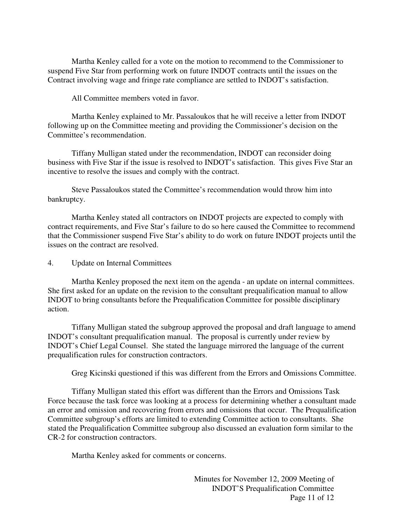Martha Kenley called for a vote on the motion to recommend to the Commissioner to suspend Five Star from performing work on future INDOT contracts until the issues on the Contract involving wage and fringe rate compliance are settled to INDOT's satisfaction.

All Committee members voted in favor.

 Martha Kenley explained to Mr. Passaloukos that he will receive a letter from INDOT following up on the Committee meeting and providing the Commissioner's decision on the Committee's recommendation.

 Tiffany Mulligan stated under the recommendation, INDOT can reconsider doing business with Five Star if the issue is resolved to INDOT's satisfaction. This gives Five Star an incentive to resolve the issues and comply with the contract.

 Steve Passaloukos stated the Committee's recommendation would throw him into bankruptcy.

 Martha Kenley stated all contractors on INDOT projects are expected to comply with contract requirements, and Five Star's failure to do so here caused the Committee to recommend that the Commissioner suspend Five Star's ability to do work on future INDOT projects until the issues on the contract are resolved.

4. Update on Internal Committees

 Martha Kenley proposed the next item on the agenda - an update on internal committees. She first asked for an update on the revision to the consultant prequalification manual to allow INDOT to bring consultants before the Prequalification Committee for possible disciplinary action.

 Tiffany Mulligan stated the subgroup approved the proposal and draft language to amend INDOT's consultant prequalification manual. The proposal is currently under review by INDOT's Chief Legal Counsel. She stated the language mirrored the language of the current prequalification rules for construction contractors.

Greg Kicinski questioned if this was different from the Errors and Omissions Committee.

 Tiffany Mulligan stated this effort was different than the Errors and Omissions Task Force because the task force was looking at a process for determining whether a consultant made an error and omission and recovering from errors and omissions that occur. The Prequalification Committee subgroup's efforts are limited to extending Committee action to consultants. She stated the Prequalification Committee subgroup also discussed an evaluation form similar to the CR-2 for construction contractors.

Martha Kenley asked for comments or concerns.